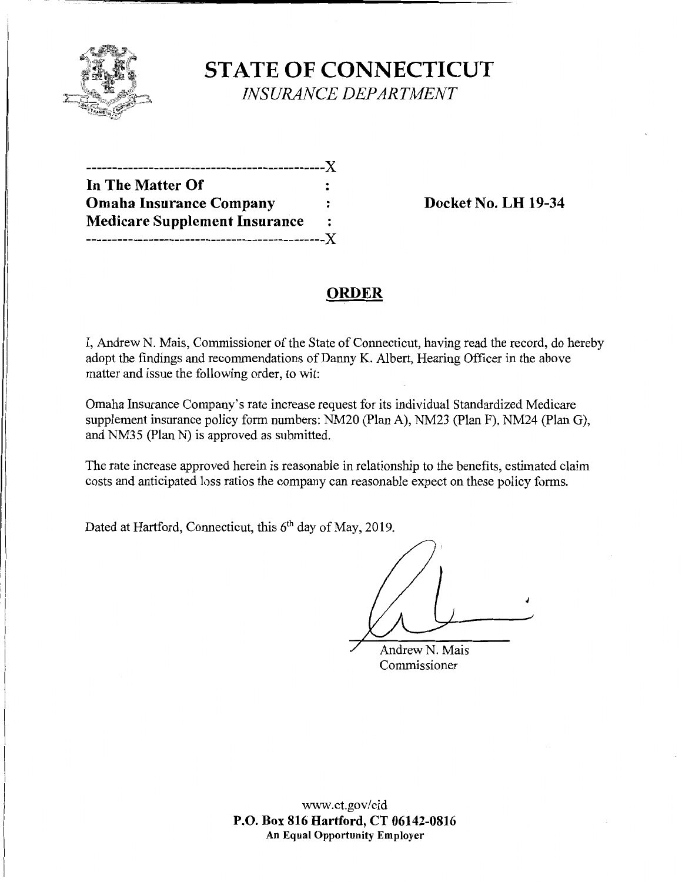

**STATE OF CONNECTICUT**  *INSURANCE DEPARTMENT* 

| In The Matter Of                     |  |
|--------------------------------------|--|
| <b>Omaha Insurance Company</b>       |  |
| <b>Medicare Supplement Insurance</b> |  |
|                                      |  |

**Docket No. LH 19-34** 

# **ORDER**

I, Andrew N. Mais, Commissioner of the State of Connecticut, having read the record, do hereby adopt the findings and recommendations of Danny K. Albert, Hearing Officer in the above matter and issue the following order, to wit:

Omaha Insurance Company's rate increase request for its individual Standardized Medicare supplement insurance policy form numbers: NM20 (Plan A), NM23 (Plan F), NM24 (Plan G), and NM35 (Plan N) is approved as submitted.

The rate increase approved herein is reasonable in relationship to the benefits, estimated claim costs and anticipated loss ratios the company can reasonable expect on these policy forms.

Dated at Hartford, Connecticut, this 6<sup>th</sup> day of May, 2019.

Andrew N. Mais Commissioner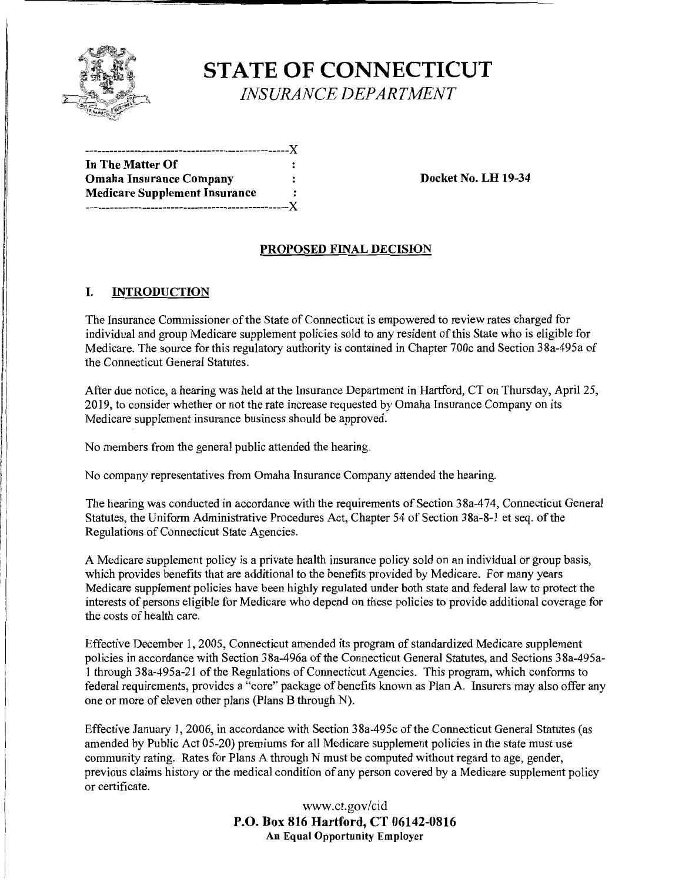

# **STATE OF CONNECTICUT**

*INSURANCE DEPARTMENT* 

| In The Matter Of                     |                      |
|--------------------------------------|----------------------|
| <b>Omaha Insurance Company</b>       | $\ddot{\phantom{a}}$ |
| <b>Medicare Supplement Insurance</b> | ∶                    |
| -----------                          |                      |
|                                      |                      |

**Docket No. LH 19-34** 

## **PROPOSED FINAL DECISION**

## I. **INTRODUCTION**

The Insurance Commissioner ofthe State of Connecticut is empowered to review rates charged for individual and group Medicare supplement policies sold to any resident ofthis State who is eligible for Medicare. The source for this regulatory authority is contained in Chapter 700c and Section 38a-495a of the Connecticut General Statutes.

After due notice, a hearing was held at the Insurance Department in Hartford, CT on Thursday, April 25, 2019, to consider whether or not the rate increase requested by Omaha Insurance Company on its Medicare supplement insurance business should be approved.

No members from the general public attended the hearing.

No company representatives from Omaha Insurance Company attended the hearing.

The hearing was conducted in accordance with the requirements of Section 38a-474, Connecticut General Statutes, the Uniform Administrative Procedures Act, Chapter 54 of Section 38a-8-l et seq. ofthe Regulations of Connecticut State Agencies.

A Medicare supplement policy is a private health insurance policy sold on an individual or group basis, which provides benefits that are additional to the benefits provided by Medicare. For many years Medicare supplement policies have been highly regulated under both state and federal law to protect the interests of persons eligible for Medicare who depend on these policies to provide additional coverage for the costs of health care.

Effective December 1, 2005, Connecticut amended its program of standardized Medicare supplement policies in accordance with Section 38a-496a of the Connecticut General Statutes, and Sections 38a-495a-1 through 38a-495a-21 of the Regulations of Connecticut Agencies. This program, which conforms to federal requirements, provides a "core" package of benefits known as Plan A. Insurers may also offer any one or more of eleven other plans (Plans B through N).

Effective January 1, 2006, in accordance with Section 38a-495c of the Connecticut General Statutes (as amended by Public Act 05-20) premiums for all Medicare supplement policies in the state must use community rating. Rates for Plans A through N must be computed without regard to age, gender, previous claims history or the medical condition of any person covered by a Medicare supplement policy or certificate.

> www.ct.gov/cid **P.O. Box 816 Hartford, CT 06142-0816 An Equal Opportunity Employer**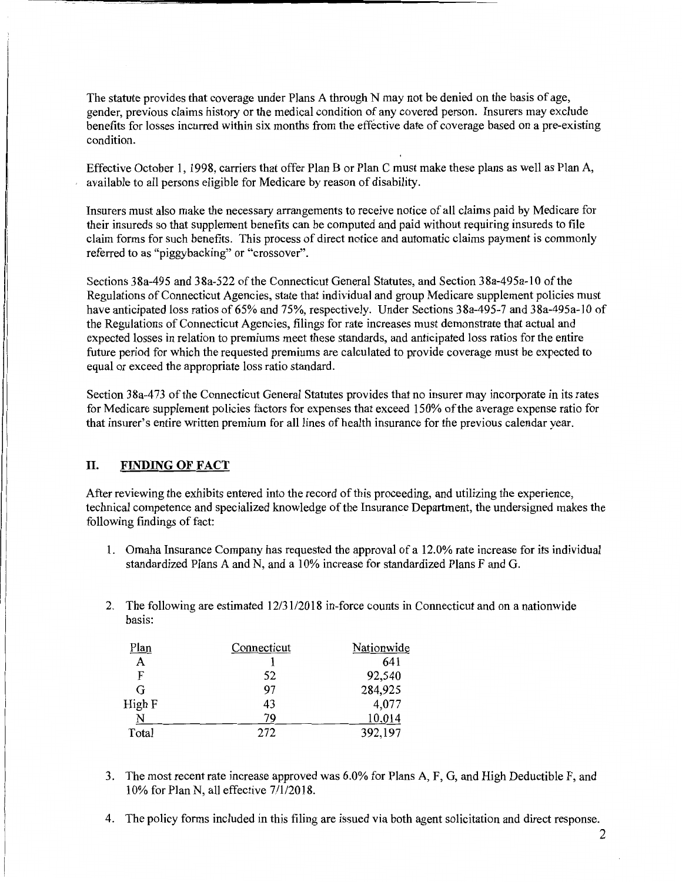The statute provides that coverage under Plans A through N may not be denied on the basis of age, gender, previous claims history or the medical condition of any covered person. Insurers may exclude benefits for losses incurred within six months from the effective date of coverage based on a pre-existing condition.

Effective October 1, 1998, carriers that offer Plan B or Plan C must make these plans as well as Plan A, available to all persons eligible for Medicare by reason of disability.

Insurers must also make the necessary arrangements to receive notice of all claims paid by Medicare for their insureds so that supplement benefits can be computed and paid without requiring insureds to file claim forms for such benefits. This process of direct notice and automatic claims payment is commonly referred to as "piggybacking" or "crossover".

Sections 38a-495 and 38a-522 of the Connecticut General Statutes, and Section 38a-495a-10 of the Regulations of Connecticut Agencies, state that individual and group Medicare supplement policies must have anticipated loss ratios of 65% and 75%, respectively. Under Sections 38a-495-7 and 38a-495a-10 of the Regulations of Connecticut Agencies, filings for rate increases must demonstrate that actual and expected losses in relation to premiums meet these standards, and anticipated loss ratios for the entire future period for which the requested premiums are calculated to provide coverage must be expected to equal or exceed the appropriate loss ratio standard.

Section 38a-473 of the Connecticut General Statutes provides that no insurer may incorporate in its rates for Medicare supplement policies factors for expenses that exceed 150% ofthe average expense ratio for that insurer's entire written premium for all lines of health insurance for the previous calendar year.

#### II. **FINDING OF FACT**

After reviewing the exhibits entered into the record of this proceeding, and utilizing the experience, technical competence and specialized knowledge of the Insurance Department, the undersigned makes the following findings of fact:

- 1. Omaha Insurance Company has requested the approval of a 12.0% rate increase for its individual standardized Plans A and N, and a 10% increase for standardized Plans F and G.
- 2. The following are estimated 12/31/2018 in-force counts in Connecticut and on a nationwide basis:

| <u>Plan</u> | Connecticut | Nationwide |
|-------------|-------------|------------|
| A           |             | 641        |
| F           | 52          | 92,540     |
| G           | 97          | 284,925    |
| High F      | 43          | 4,077      |
| N           | 79          | 10,014     |
| Total       | 272         | 392,197    |

- 3. The most recent rate increase approved was 6.0% for Plans A, F, G, and High Deductible F, and 10% for Plan N, all effective 7/1/2018.
- 4. The policy forms included in this filing are issued via both agent solicitation and direct response.